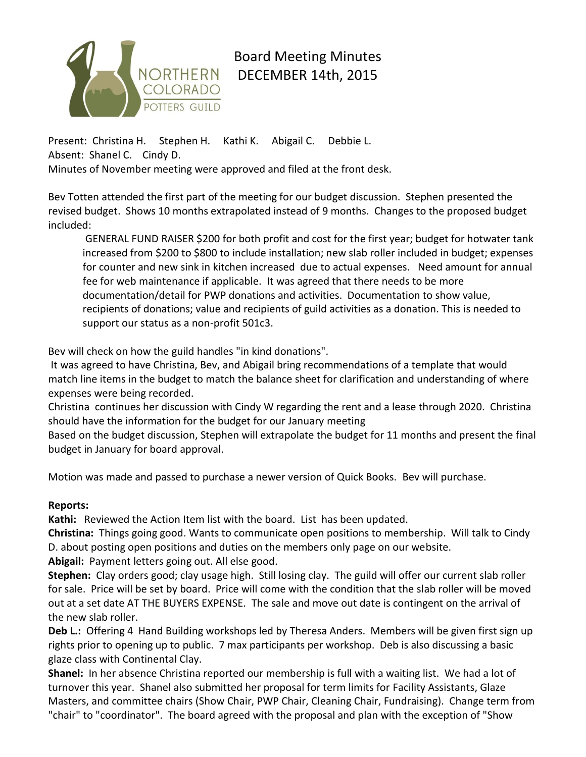

# Board Meeting Minutes DECEMBER 14th, 2015

Present: Christina H. Stephen H. Kathi K. Abigail C. Debbie L. Absent: Shanel C. Cindy D. Minutes of November meeting were approved and filed at the front desk.

Bev Totten attended the first part of the meeting for our budget discussion. Stephen presented the revised budget. Shows 10 months extrapolated instead of 9 months. Changes to the proposed budget included:

GENERAL FUND RAISER \$200 for both profit and cost for the first year; budget for hotwater tank increased from \$200 to \$800 to include installation; new slab roller included in budget; expenses for counter and new sink in kitchen increased due to actual expenses. Need amount for annual fee for web maintenance if applicable. It was agreed that there needs to be more documentation/detail for PWP donations and activities. Documentation to show value, recipients of donations; value and recipients of guild activities as a donation. This is needed to support our status as a non-profit 501c3.

Bev will check on how the guild handles "in kind donations".

It was agreed to have Christina, Bev, and Abigail bring recommendations of a template that would match line items in the budget to match the balance sheet for clarification and understanding of where expenses were being recorded.

Christina continues her discussion with Cindy W regarding the rent and a lease through 2020. Christina should have the information for the budget for our January meeting

Based on the budget discussion, Stephen will extrapolate the budget for 11 months and present the final budget in January for board approval.

Motion was made and passed to purchase a newer version of Quick Books. Bev will purchase.

### **Reports:**

**Kathi:** Reviewed the Action Item list with the board. List has been updated.

**Christina:** Things going good. Wants to communicate open positions to membership. Will talk to Cindy D. about posting open positions and duties on the members only page on our website.

**Abigail:** Payment letters going out. All else good.

**Stephen:** Clay orders good; clay usage high. Still losing clay. The guild will offer our current slab roller for sale. Price will be set by board. Price will come with the condition that the slab roller will be moved out at a set date AT THE BUYERS EXPENSE. The sale and move out date is contingent on the arrival of the new slab roller.

**Deb L.:** Offering 4 Hand Building workshops led by Theresa Anders. Members will be given first sign up rights prior to opening up to public. 7 max participants per workshop. Deb is also discussing a basic glaze class with Continental Clay.

**Shanel:** In her absence Christina reported our membership is full with a waiting list. We had a lot of turnover this year. Shanel also submitted her proposal for term limits for Facility Assistants, Glaze Masters, and committee chairs (Show Chair, PWP Chair, Cleaning Chair, Fundraising). Change term from "chair" to "coordinator". The board agreed with the proposal and plan with the exception of "Show